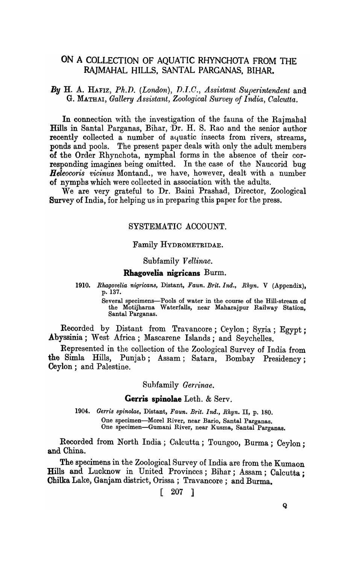# ON A COLLECTION OF AQUATIC RHYNCHOTA FROM THE RAJMAHAL HILLS, SANTAL PARGANAS, BIHAR.

**By H. A. HAFIZ, Ph.D.** (London), D.I.C., Assistant Superintendent and G. MATHAI, *Gallery Assistant, Zoological Survey of India, Calcutta.* 

In connection with the investigation of the fauna of the Rajmahal Hills in Santal Parganas, Bihar, Dr. H. S. Rao and the senior author recently collected a number of aquatic insects from rivers, streams, ponds and pools. The present paper deals with only the adult members of the Order Rhynchota, nymphal forms in the absence of their corresponding imagines being omitted. In the case of the Naucorid bug *Heleocoris vicinus* Montand., we have, however, dealt with a number of nymphs which were collected in association with the adults.

We are very grateful to Dr. Baini Prashad, Director, Zoological Survey of India, for helping us in preparing this paper for the press.

# SYSTEMATIC ACCOUNT.

# Family HYDROMETRIDAE.

### Subfamily *Vellinae.*

### Rhagovelia nigricans Burm.

*1910. Rhagovelia nigricans,* Distant, *Faun. Brit. Ind., Rhyn.* V (Appendix), p.137.

> Several specimens-Pools of water in the course of the Hill-stream of the Motijharna Waterfalls, near Maharajpur Railway Station, Santal Parganas.

Recorded by Distant from Travancore; Ceylon; Syria; Egypt; Abyssinia; West Africa; Mascarene Islands; and Seychelles.

Represented in the collection of the Zoological Survey of India from the Simla Hills, Punjab; Assam; Satara, Bombay Presidency; Ceylon; and Palestine.

Subfamily *Gerrinae*.

#### Gerris spinolae Leth.  $&$  Serv.

*1904. Gerris spinolae,* Distant, *Faun. Brit. Ind., Rhyn.* II, p. 180. One specimen-Morel River, near Bario, Santal Parganas. One specimen-Gumani River, near Kusma, Santal Parganas.

Recorded from North India; Calcutta; Toungoo, Burma; Ceylon; and China.

The specimens in the Zoological Survey of India are from the Kumaon Hills and Lucknow in United Provinces; Bihar; Assam; Calcutta; Chilka Lake, Ganjam district, Orissa; Travancore; and Burma.

# [ 207 ]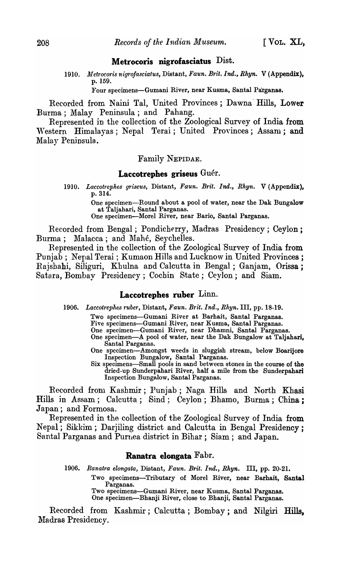# Metrocoris nigrofasciatus Dist.

*1910. JJletrocoris nigrojasciatus,* Distant, *Faun. Brit. Ind., Rhyn.* V (Appendix), p.159.

Four specimens-Gumani River, near Kusma, Santal Parganas.

Recorded from Naini Tal, United Provinces; Dawna Hills, Lower Burma; Malay Peninsula; and Pahang.

Represented in the collection of the Zoological Survey of India from Western Himalayas; Nepal Terai; United Provinces; Assam; and Malay Penjnsula.

### Family NEPIDAE.

# Laccotrephes griseus Guér.

*1910. Laccot'rephes griseus,* Distant, *Faun. Brit. Ind., Rhyn.* V (Appendix), p.314.

> One specimen-Round about a pool of water, near the Dak Bungalow at Taljahari, Santal Parganas.

One specimen-Morel River, near Bario, Santal Parganas.

Recorded from Bengal; Pondicherry, Madras Presidency; Ceylon; Burma; Malacca; and Mahé, Seychelles.

Represented in the collection of the Zoological Survey of India from Punjab; Nepal Terai; Kumaon Hills and Lucknow in United Provinces; Rajshahi, Siliguri, Khulna and Calcutta in Bengal; Ganjam, Orissa; Satara, Bomhay Presidency; Cochin State; Ceylon; and Siam.

## Laccotrephes ruber Linn.

*1906. Laccotrephes ruber,* Distant, *Faun. Brit. Ind., Rhyn.* III, pp. 18-19.

Two specimens-Gumani River at Barhait, Santal Parganas.

Five specimens-Gumani River, near Kusma, Santal Parganas.

One specimen-Gumani River, near Dhamni, Santal Parganas.

- One specimen-A pool of water, near the Dak Bungalow at Taljahari, Santal Parganas.
- One specimen-Amongst weeds in sluggish stream, below Boarijore Inspection Bungalow, Santal Parganas.
- Six specimens-Small pools in sand between stones in the course of the dried-up Sunderpahari River, half a mile from the Sunderpahari Inspection Bungalow, Santal Parganas.

Recorded from Kashmir; Punjab; Naga Hills and North Khasi Hills in Assam; Calcutta; Sind; Ceylon; Bhamo, Burma; China; Japan; and Formosa.

Represented in the collection of the Zoological Survey of India from Nepal; Sikkim; Darjiling district and Calcutta in Bengal Presidency; Santal Parganas and Purnea district in Bihar; Siam; and Japan.

# Ranatra elongata Fabr.

*1906. Ranatra elongata,* Distant, *Faun. Brit. Ind., Rhyn.* III, pp. 20-21. Two specimens-Tributary of Morel River, near Barhait, Santal Parganas. Two specimens-Gumani River, near Kusma, Santal Parganas. One specimen-Bhanji River, close to Bhanji, Santal Parganas.

Recorded from Kashmir; Calcutta; Bombay; and Nilgiri Hills, Madras Presidency.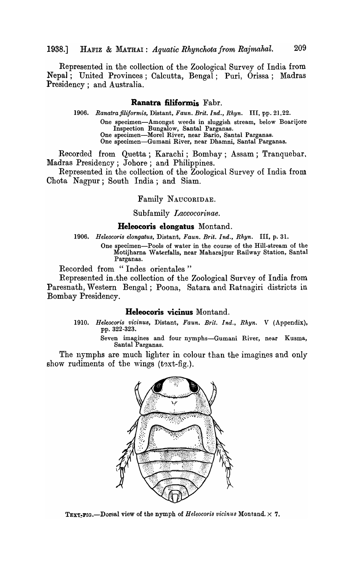# 1938.] HAFIZ & MATHAI: *Aquatic Rhynchotafrom Rajmahal. 209*

Represented in the collection of the Zoological Survey of India from Nepal; United Provinces; Calcutta, Bengal; Puri, Orissa; Madras Presidency; and Australia.

## **Ranatra filiformis** Fabr.

*1906. Ranatrafiliformis,* Distant, *Faun. Brit. Ind., Rhyn.* III, pp. 21,22. One specimen-Amongst weeds in sluggish stream, below Boarijore Inspection Bungalow, Santal Parganas. One specimen-Morel River, near Bario, Santal Parganas. One specimen-Gumani River, near Dhamni, Santal Parganas.

Recorded from Quetta; Karachi; Bombay; Assam; Tranquebar, Madras Presidency; Johore; and Philippines.

Represented in the collection of the Zoological Survey of India from Chota Nagpur; South India; and Siam.

Family NAUCORIDAE.

Subfamily *Laccocorinae.* 

#### **Heleocoris elongatus** Montand.

*1906. Heleocoris elongatus,* Distant, *Faun. Brit. Ind., Rhyn.* III, p. 31.

One specimen-Pools of water in the course of the Hill-stream of the Motijharna Waterfalls, near Maharajpur Railway Station, Santa! Parganas.

Recorded from "Indes orientales"

Represented in .the collection of the Zoological Survey of India from Paresnath, Western Bengal; Poona, Satara and Ratnagiri districts in Bombay Presidency.

### **Heleocoris vicinus** Montand.

*1910. Heleocoris vicinus,* Distant, *Faun. Brit. Ind., Rhyn.* V (Appendix), pp. 322-323.

> Seven imagines and four nymphs-Gumani River, near Kusma, Santal Parganas.

The nymphs are much lighter in colour than the imagines and only show rudiments of the wings  $(t \cdot x \cdot t - f \cdot g)$ .



TEXT-FIG.-Dorsal view of the nymph of *Heleocoris vicinus* Montand.  $\times$  7.